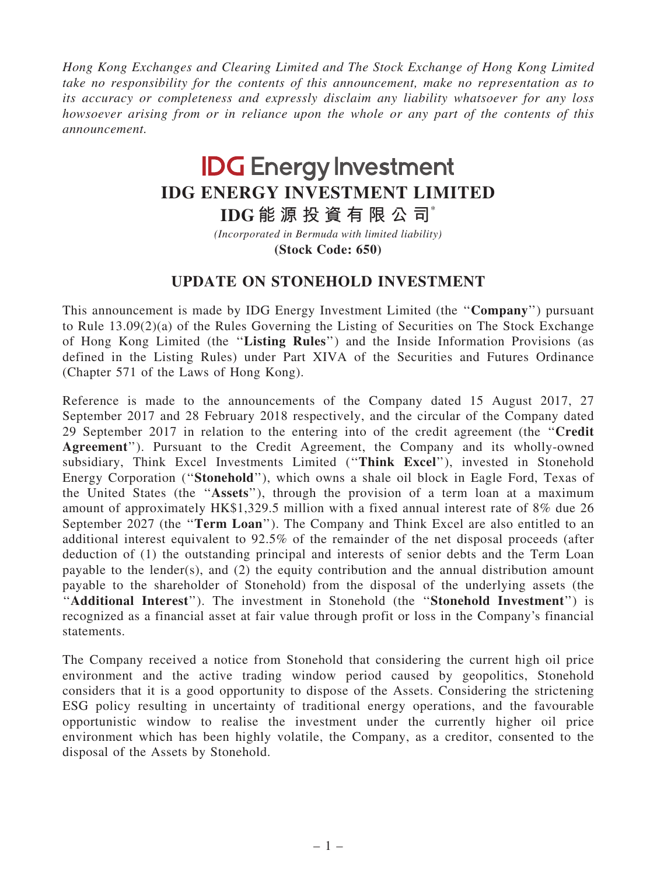Hong Kong Exchanges and Clearing Limited and The Stock Exchange of Hong Kong Limited take no responsibility for the contents of this announcement, make no representation as to its accuracy or completeness and expressly disclaim any liability whatsoever for any loss howsoever arising from or in reliance upon the whole or any part of the contents of this announcement.

## **IDG Energy Investment IDG ENERGY INVESTMENT LIMITED**

**IDG 能 源 投 資 有 限 公 司**\*

**(Stock Code: 650)** *(Incorporated in Bermuda with limited liability)*

## UPDATE ON STONEHOLD INVESTMENT

This announcement is made by IDG Energy Investment Limited (the ''Company'') pursuant to Rule 13.09(2)(a) of the Rules Governing the Listing of Securities on The Stock Exchange of Hong Kong Limited (the ''Listing Rules'') and the Inside Information Provisions (as defined in the Listing Rules) under Part XIVA of the Securities and Futures Ordinance (Chapter 571 of the Laws of Hong Kong).

Reference is made to the announcements of the Company dated 15 August 2017, 27 September 2017 and 28 February 2018 respectively, and the circular of the Company dated 29 September 2017 in relation to the entering into of the credit agreement (the ''Credit Agreement''). Pursuant to the Credit Agreement, the Company and its wholly-owned subsidiary, Think Excel Investments Limited (''Think Excel''), invested in Stonehold Energy Corporation (''Stonehold''), which owns a shale oil block in Eagle Ford, Texas of the United States (the ''Assets''), through the provision of a term loan at a maximum amount of approximately HK\$1,329.5 million with a fixed annual interest rate of 8% due 26 September 2027 (the "Term Loan"). The Company and Think Excel are also entitled to an additional interest equivalent to 92.5% of the remainder of the net disposal proceeds (after deduction of (1) the outstanding principal and interests of senior debts and the Term Loan payable to the lender(s), and (2) the equity contribution and the annual distribution amount payable to the shareholder of Stonehold) from the disposal of the underlying assets (the "Additional Interest"). The investment in Stonehold (the "Stonehold Investment") is recognized as a financial asset at fair value through profit or loss in the Company's financial statements.

The Company received a notice from Stonehold that considering the current high oil price environment and the active trading window period caused by geopolitics, Stonehold considers that it is a good opportunity to dispose of the Assets. Considering the strictening ESG policy resulting in uncertainty of traditional energy operations, and the favourable opportunistic window to realise the investment under the currently higher oil price environment which has been highly volatile, the Company, as a creditor, consented to the disposal of the Assets by Stonehold.